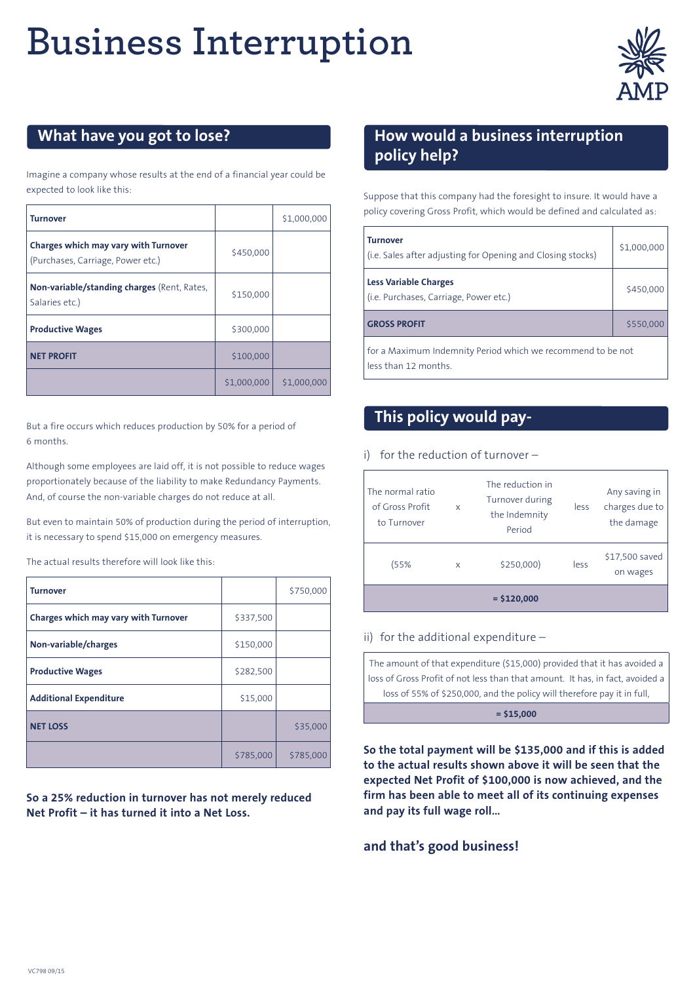# **Business Interruption**



## **What have you got to lose?**

Imagine a company whose results at the end of a financial year could be expected to look like this:

| <b>Turnover</b>                                                           |             | \$1,000,000 |
|---------------------------------------------------------------------------|-------------|-------------|
| Charges which may vary with Turnover<br>(Purchases, Carriage, Power etc.) | \$450,000   |             |
| Non-variable/standing charges (Rent, Rates,<br>Salaries etc.)             | \$150,000   |             |
| <b>Productive Wages</b>                                                   | \$300,000   |             |
| <b>NET PROFIT</b>                                                         | \$100,000   |             |
|                                                                           | \$1,000,000 | \$1,000,000 |

But a fire occurs which reduces production by 50% for a period of 6 months.

Although some employees are laid off, it is not possible to reduce wages proportionately because of the liability to make Redundancy Payments. And, of course the non-variable charges do not reduce at all.

But even to maintain 50% of production during the period of interruption, it is necessary to spend \$15,000 on emergency measures.

The actual results therefore will look like this:

| <b>Turnover</b>                      |           | \$750,000 |
|--------------------------------------|-----------|-----------|
| Charges which may vary with Turnover | \$337,500 |           |
| Non-variable/charges                 | \$150,000 |           |
| <b>Productive Wages</b>              | \$282,500 |           |
| <b>Additional Expenditure</b>        | \$15,000  |           |
| <b>NET LOSS</b>                      |           | \$35,000  |
|                                      | \$785,000 | \$785,000 |

**So a 25% reduction in turnover has not merely reduced Net Profit – it has turned it into a Net Loss.**

### **How would a business interruption policy help?**

Suppose that this company had the foresight to insure. It would have a policy covering Gross Profit, which would be defined and calculated as:

| <b>Turnover</b><br>(i.e. Sales after adjusting for Opening and Closing stocks)     | \$1,000,000 |  |  |
|------------------------------------------------------------------------------------|-------------|--|--|
| <b>Less Variable Charges</b><br>(i.e. Purchases, Carriage, Power etc.)             | \$450,000   |  |  |
| <b>GROSS PROFIT</b>                                                                | \$550,000   |  |  |
| for a Maximum Indemnity Period which we recommend to be not<br>less than 12 months |             |  |  |

## **This policy would pay-**

#### i) for the reduction of turnover –

| The normal ratio<br>of Gross Profit<br>to Turnover | X | The reduction in<br>Turnover during<br>the Indemnity<br>Period | less | Any saving in<br>charges due to<br>the damage |
|----------------------------------------------------|---|----------------------------------------------------------------|------|-----------------------------------------------|
| (55%                                               | X | \$250,000)                                                     | less | \$17,500 saved<br>on wages                    |
| $=$ \$120,000                                      |   |                                                                |      |                                               |

#### ii) for the additional expenditure –

| The amount of that expenditure (\$15,000) provided that it has avoided a $\mid$ |  |  |  |
|---------------------------------------------------------------------------------|--|--|--|
| loss of Gross Profit of not less than that amount. It has, in fact, avoided a   |  |  |  |
| loss of 55% of \$250,000, and the policy will therefore pay it in full,         |  |  |  |
| $= $15,000$                                                                     |  |  |  |

**So the total payment will be \$135,000 and if this is added to the actual results shown above it will be seen that the expected Net Profit of \$100,000 is now achieved, and the firm has been able to meet all of its continuing expenses and pay its full wage roll…**

#### **and that's good business!**

VC798 09/15 1